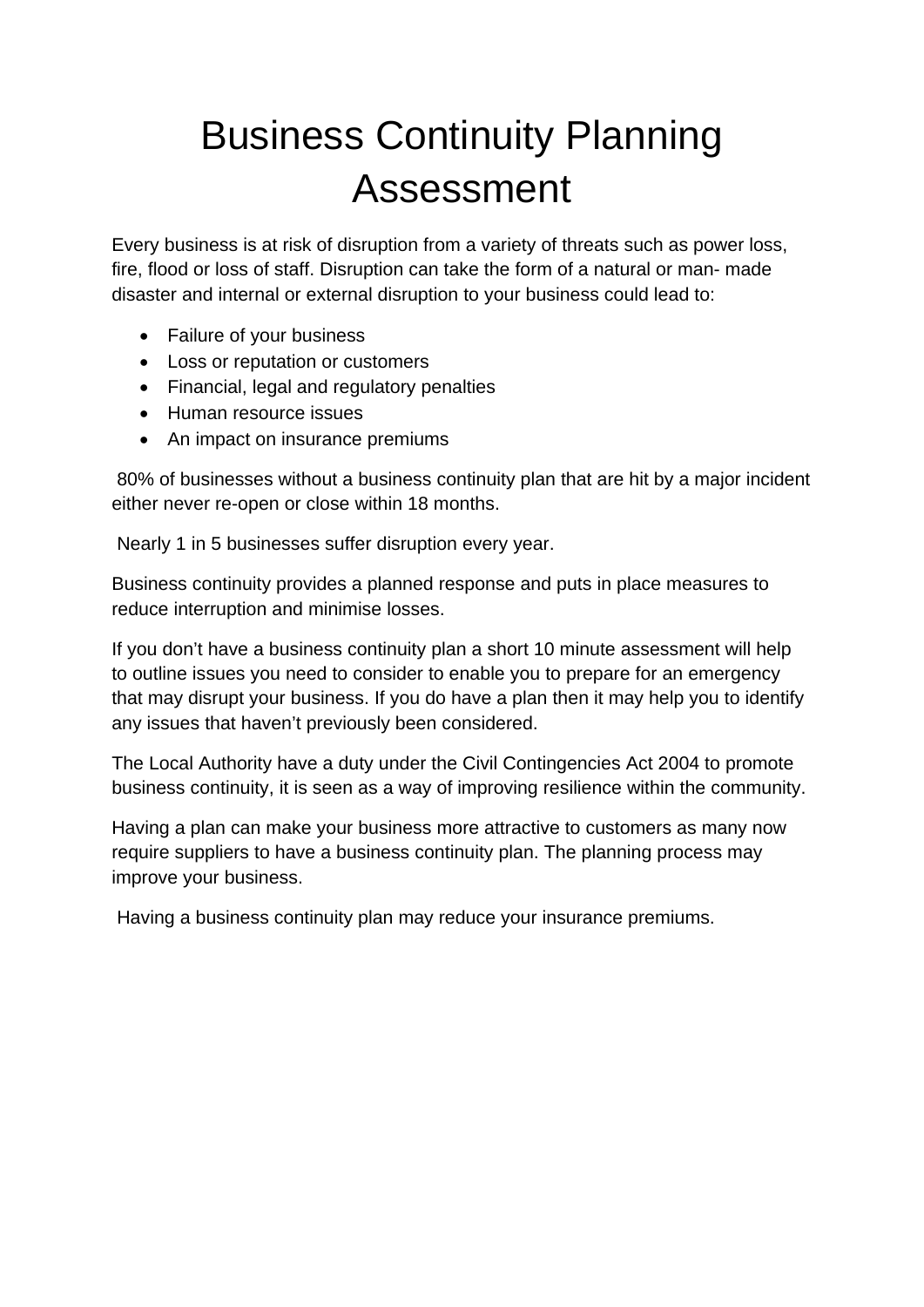# Business Continuity Planning Assessment

Every business is at risk of disruption from a variety of threats such as power loss, fire, flood or loss of staff. Disruption can take the form of a natural or man- made disaster and internal or external disruption to your business could lead to:

- Failure of your business
- Loss or reputation or customers
- Financial, legal and regulatory penalties
- Human resource issues
- An impact on insurance premiums

 80% of businesses without a business continuity plan that are hit by a major incident either never re-open or close within 18 months.

Nearly 1 in 5 businesses suffer disruption every year.

Business continuity provides a planned response and puts in place measures to reduce interruption and minimise losses.

If you don't have a business continuity plan a short 10 minute assessment will help to outline issues you need to consider to enable you to prepare for an emergency that may disrupt your business. If you do have a plan then it may help you to identify any issues that haven't previously been considered.

The Local Authority have a duty under the Civil Contingencies Act 2004 to promote business continuity, it is seen as a way of improving resilience within the community.

Having a plan can make your business more attractive to customers as many now require suppliers to have a business continuity plan. The planning process may improve your business.

Having a business continuity plan may reduce your insurance premiums.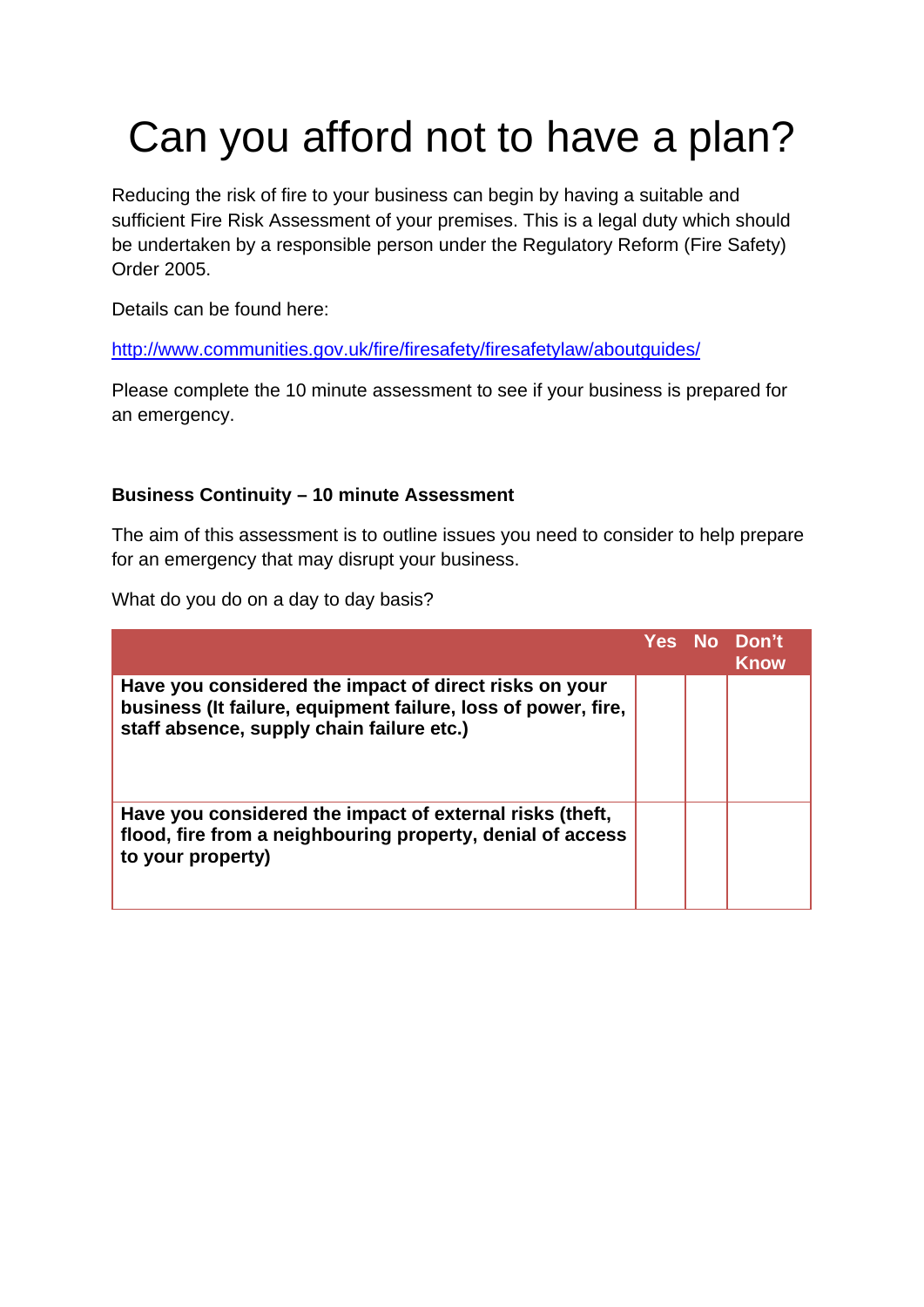# Can you afford not to have a plan?

Reducing the risk of fire to your business can begin by having a suitable and sufficient Fire Risk Assessment of your premises. This is a legal duty which should be undertaken by a responsible person under the Regulatory Reform (Fire Safety) Order 2005.

Details can be found here:

http://www.communities.gov.uk/fire/firesafety/firesafetylaw/aboutguides/

Please complete the 10 minute assessment to see if your business is prepared for an emergency.

#### **Business Continuity – 10 minute Assessment**

The aim of this assessment is to outline issues you need to consider to help prepare for an emergency that may disrupt your business.

What do you do on a day to day basis?

|                                                                                                                                                                      |  | Yes No Don't<br><b>Know</b> |
|----------------------------------------------------------------------------------------------------------------------------------------------------------------------|--|-----------------------------|
| Have you considered the impact of direct risks on your<br>business (It failure, equipment failure, loss of power, fire,<br>staff absence, supply chain failure etc.) |  |                             |
| Have you considered the impact of external risks (theft,<br>flood, fire from a neighbouring property, denial of access<br>to your property)                          |  |                             |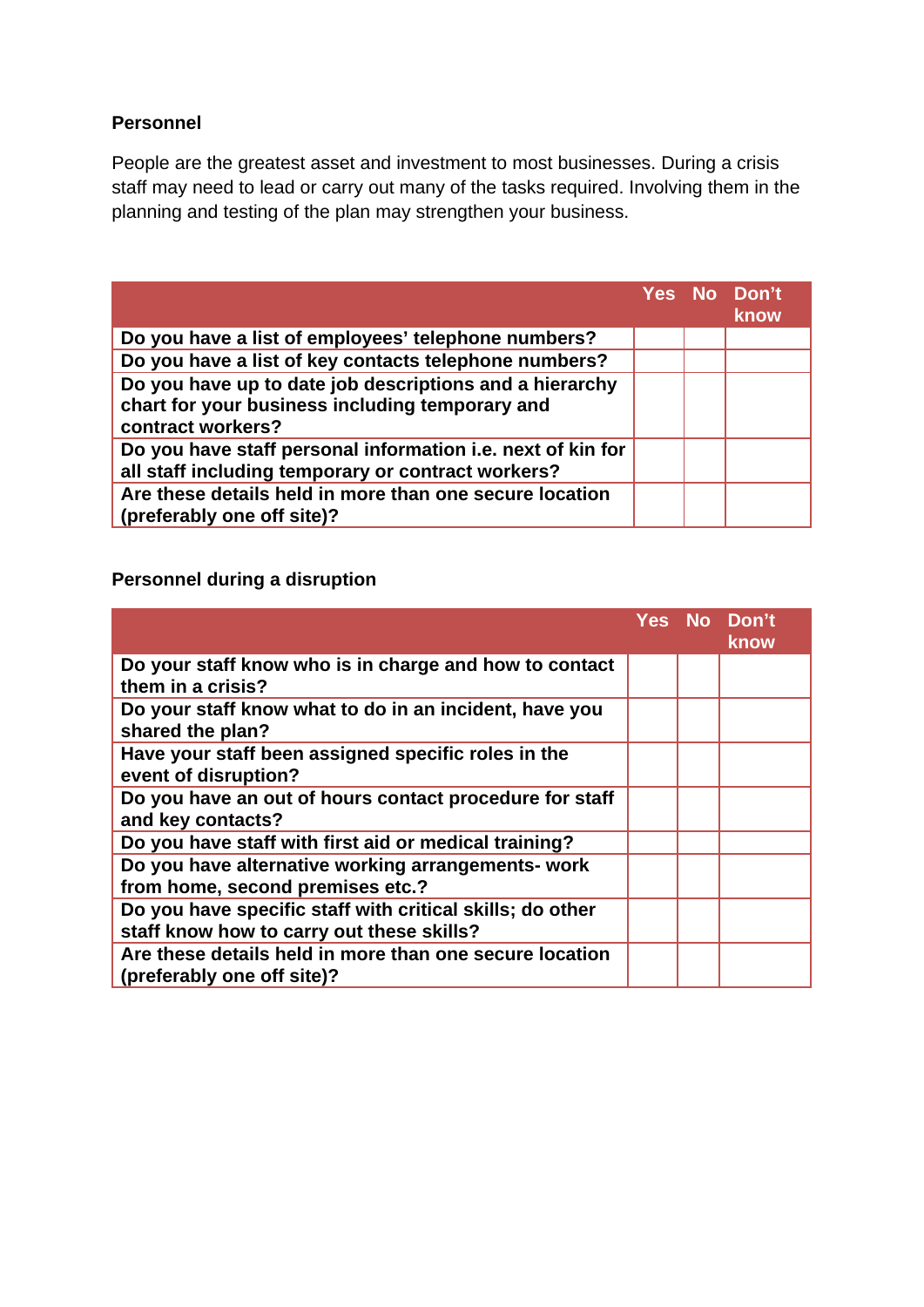#### **Personnel**

People are the greatest asset and investment to most businesses. During a crisis staff may need to lead or carry out many of the tasks required. Involving them in the planning and testing of the plan may strengthen your business.

|                                                                                                                                 |  | Yes No Don't<br><b>know</b> |
|---------------------------------------------------------------------------------------------------------------------------------|--|-----------------------------|
| Do you have a list of employees' telephone numbers?                                                                             |  |                             |
| Do you have a list of key contacts telephone numbers?                                                                           |  |                             |
| Do you have up to date job descriptions and a hierarchy<br>chart for your business including temporary and<br>contract workers? |  |                             |
| Do you have staff personal information i.e. next of kin for<br>all staff including temporary or contract workers?               |  |                             |
| Are these details held in more than one secure location<br>(preferably one off site)?                                           |  |                             |

# **Personnel during a disruption**

|                                                                                                        |  | Yes No Don't<br>know |
|--------------------------------------------------------------------------------------------------------|--|----------------------|
| Do your staff know who is in charge and how to contact<br>them in a crisis?                            |  |                      |
| Do your staff know what to do in an incident, have you<br>shared the plan?                             |  |                      |
| Have your staff been assigned specific roles in the<br>event of disruption?                            |  |                      |
| Do you have an out of hours contact procedure for staff<br>and key contacts?                           |  |                      |
| Do you have staff with first aid or medical training?                                                  |  |                      |
| Do you have alternative working arrangements- work<br>from home, second premises etc.?                 |  |                      |
| Do you have specific staff with critical skills; do other<br>staff know how to carry out these skills? |  |                      |
| Are these details held in more than one secure location<br>(preferably one off site)?                  |  |                      |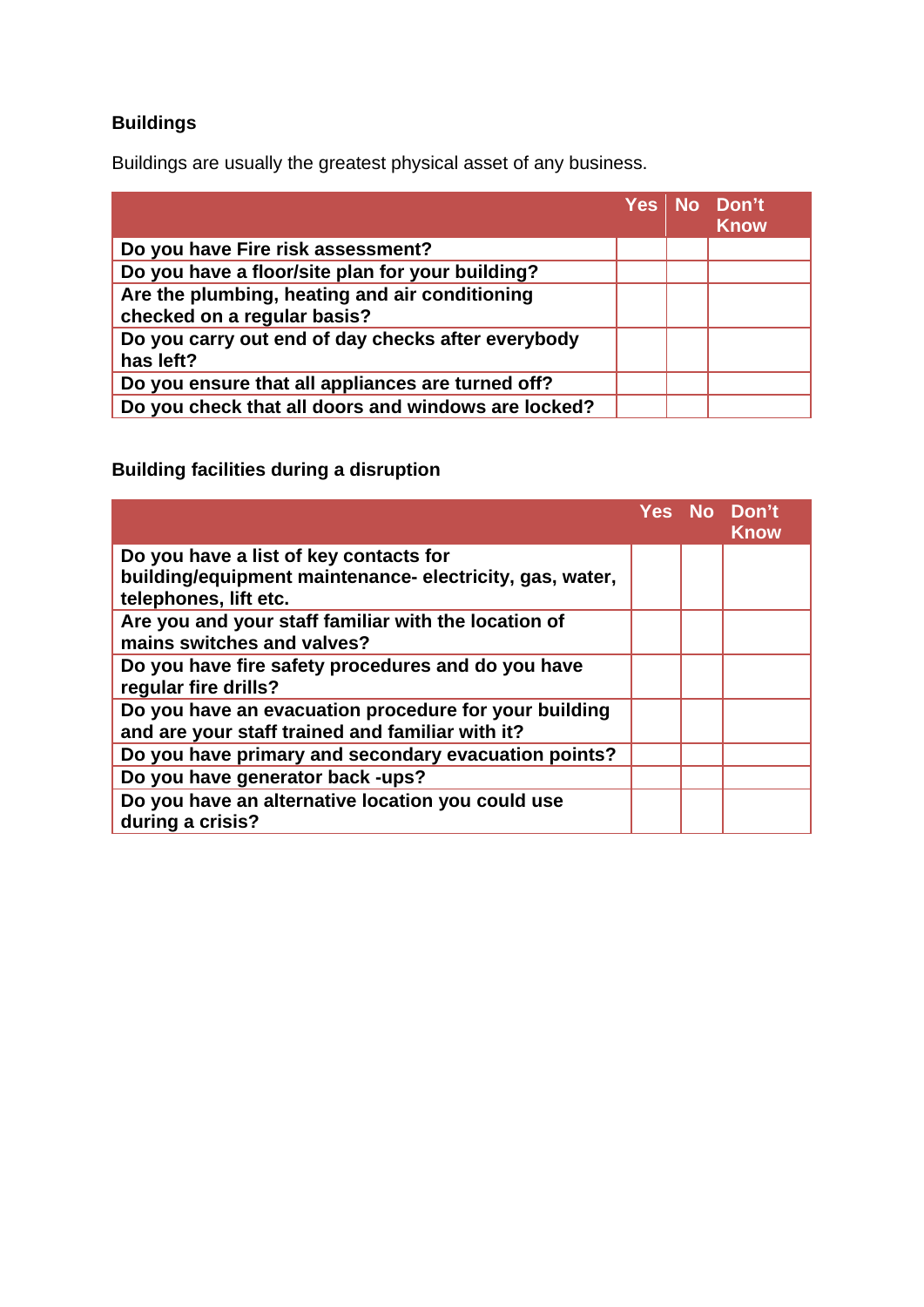# **Buildings**

Buildings are usually the greatest physical asset of any business.

|                                                                               |  | Yes No Don't<br><b>Know</b> |
|-------------------------------------------------------------------------------|--|-----------------------------|
| Do you have Fire risk assessment?                                             |  |                             |
| Do you have a floor/site plan for your building?                              |  |                             |
| Are the plumbing, heating and air conditioning<br>checked on a regular basis? |  |                             |
| Do you carry out end of day checks after everybody<br>has left?               |  |                             |
| Do you ensure that all appliances are turned off?                             |  |                             |
| Do you check that all doors and windows are locked?                           |  |                             |

**Building facilities during a disruption** 

|                                                                                                                            |  | Yes No Don't<br><b>Know</b> |
|----------------------------------------------------------------------------------------------------------------------------|--|-----------------------------|
| Do you have a list of key contacts for<br>building/equipment maintenance-electricity, gas, water,<br>telephones, lift etc. |  |                             |
| Are you and your staff familiar with the location of<br>mains switches and valves?                                         |  |                             |
| Do you have fire safety procedures and do you have<br>regular fire drills?                                                 |  |                             |
| Do you have an evacuation procedure for your building<br>and are your staff trained and familiar with it?                  |  |                             |
| Do you have primary and secondary evacuation points?                                                                       |  |                             |
| Do you have generator back -ups?                                                                                           |  |                             |
| Do you have an alternative location you could use<br>during a crisis?                                                      |  |                             |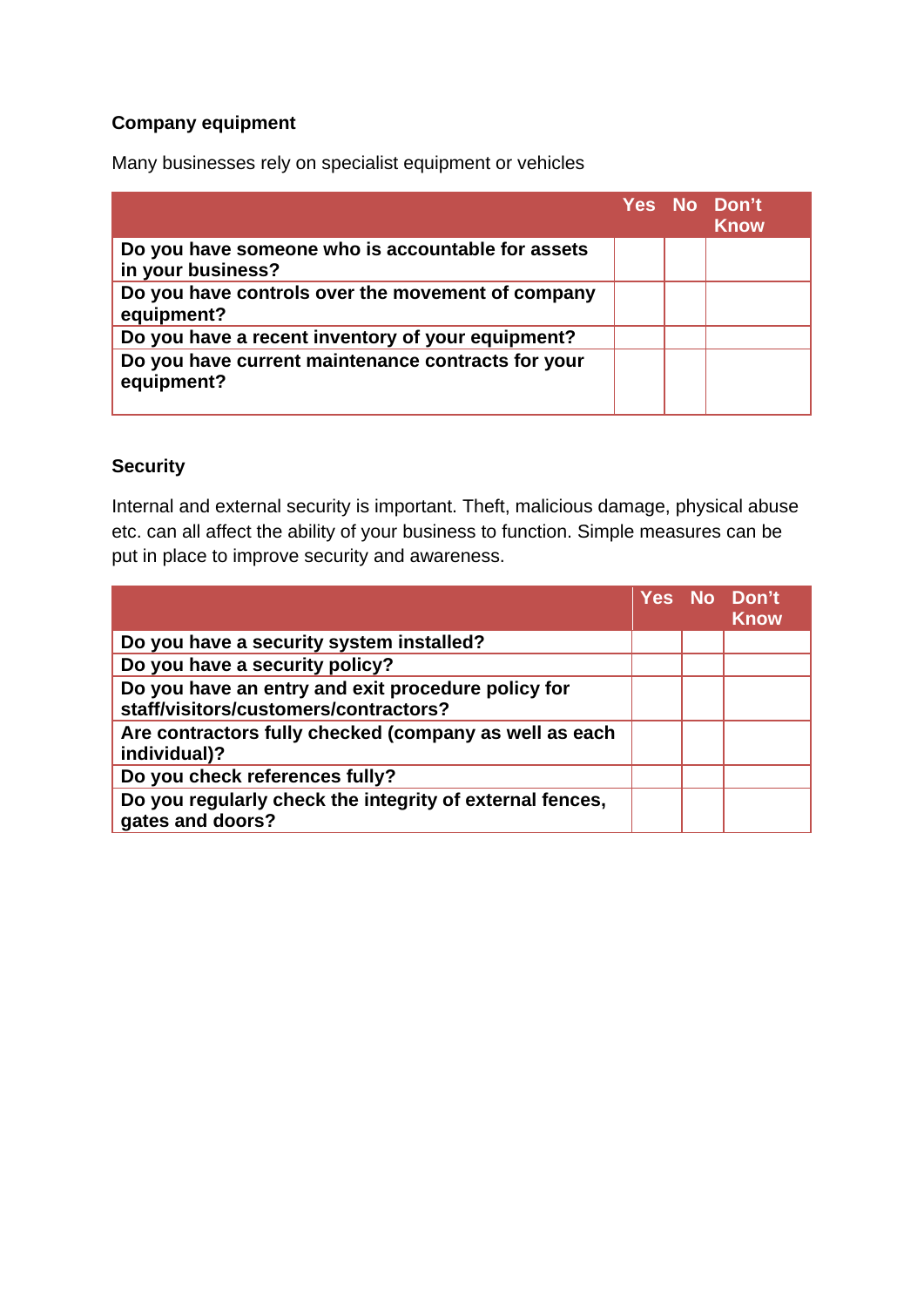#### **Company equipment**

Many businesses rely on specialist equipment or vehicles

|                                                                        |  | Yes No Don't<br><b>Know</b> |
|------------------------------------------------------------------------|--|-----------------------------|
| Do you have someone who is accountable for assets<br>in your business? |  |                             |
| Do you have controls over the movement of company<br>equipment?        |  |                             |
| Do you have a recent inventory of your equipment?                      |  |                             |
| Do you have current maintenance contracts for your<br>equipment?       |  |                             |

#### **Security**

Internal and external security is important. Theft, malicious damage, physical abuse etc. can all affect the ability of your business to function. Simple measures can be put in place to improve security and awareness.

|                                                                                             |  | Yes No Don't<br><b>Know</b> |
|---------------------------------------------------------------------------------------------|--|-----------------------------|
| Do you have a security system installed?                                                    |  |                             |
| Do you have a security policy?                                                              |  |                             |
| Do you have an entry and exit procedure policy for<br>staff/visitors/customers/contractors? |  |                             |
| Are contractors fully checked (company as well as each<br>individual)?                      |  |                             |
| Do you check references fully?                                                              |  |                             |
| Do you regularly check the integrity of external fences,<br>gates and doors?                |  |                             |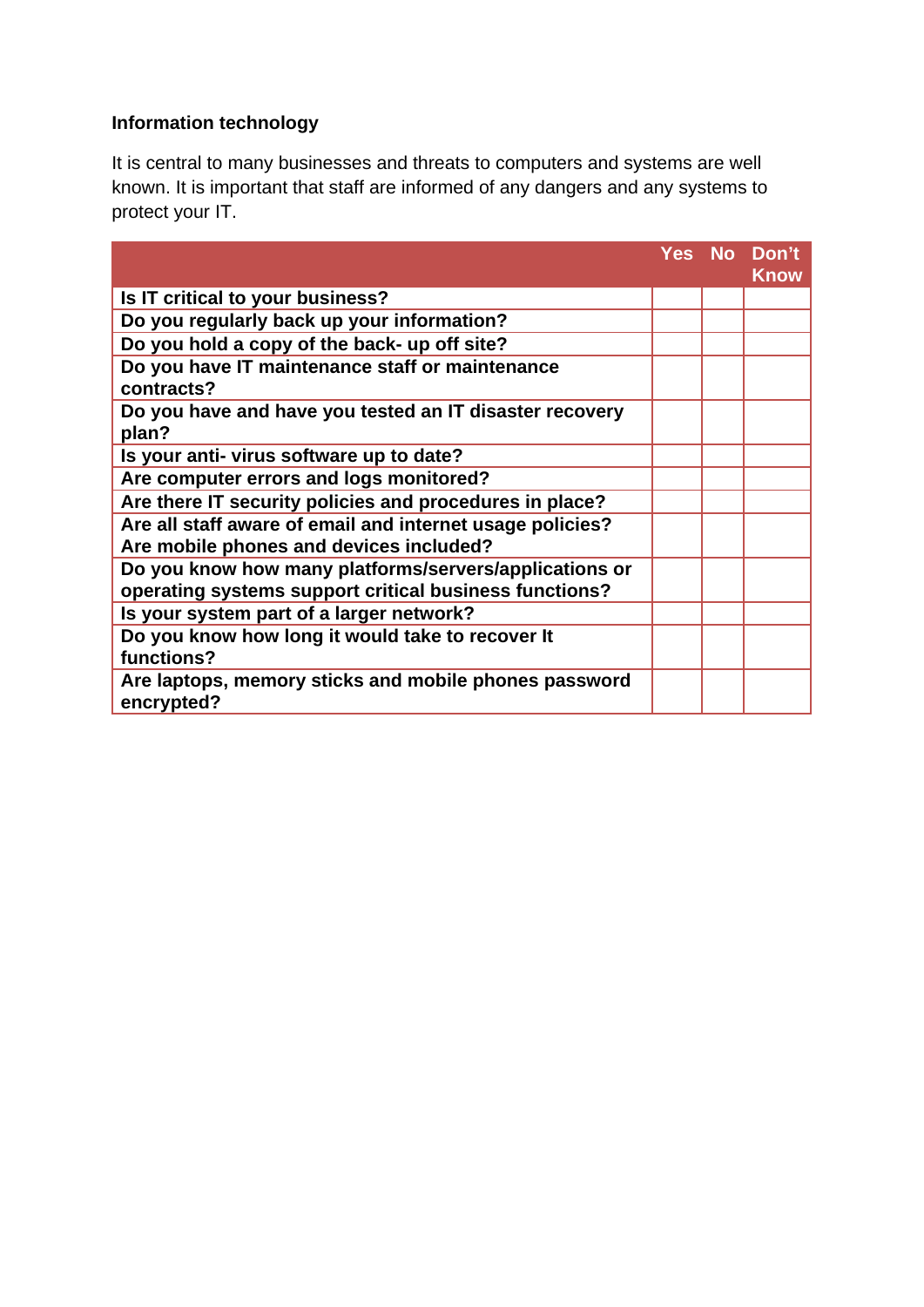# **Information technology**

It is central to many businesses and threats to computers and systems are well known. It is important that staff are informed of any dangers and any systems to protect your IT.

|                                                                                                      |  | Yes No Don't<br><b>Know</b> |
|------------------------------------------------------------------------------------------------------|--|-----------------------------|
| Is IT critical to your business?                                                                     |  |                             |
| Do you regularly back up your information?                                                           |  |                             |
| Do you hold a copy of the back- up off site?                                                         |  |                             |
| Do you have IT maintenance staff or maintenance<br>contracts?                                        |  |                             |
| Do you have and have you tested an IT disaster recovery<br>plan?                                     |  |                             |
| Is your anti- virus software up to date?                                                             |  |                             |
| Are computer errors and logs monitored?                                                              |  |                             |
| Are there IT security policies and procedures in place?                                              |  |                             |
| Are all staff aware of email and internet usage policies?<br>Are mobile phones and devices included? |  |                             |
| Do you know how many platforms/servers/applications or                                               |  |                             |
| operating systems support critical business functions?                                               |  |                             |
| Is your system part of a larger network?                                                             |  |                             |
| Do you know how long it would take to recover It<br>functions?                                       |  |                             |
| Are laptops, memory sticks and mobile phones password<br>encrypted?                                  |  |                             |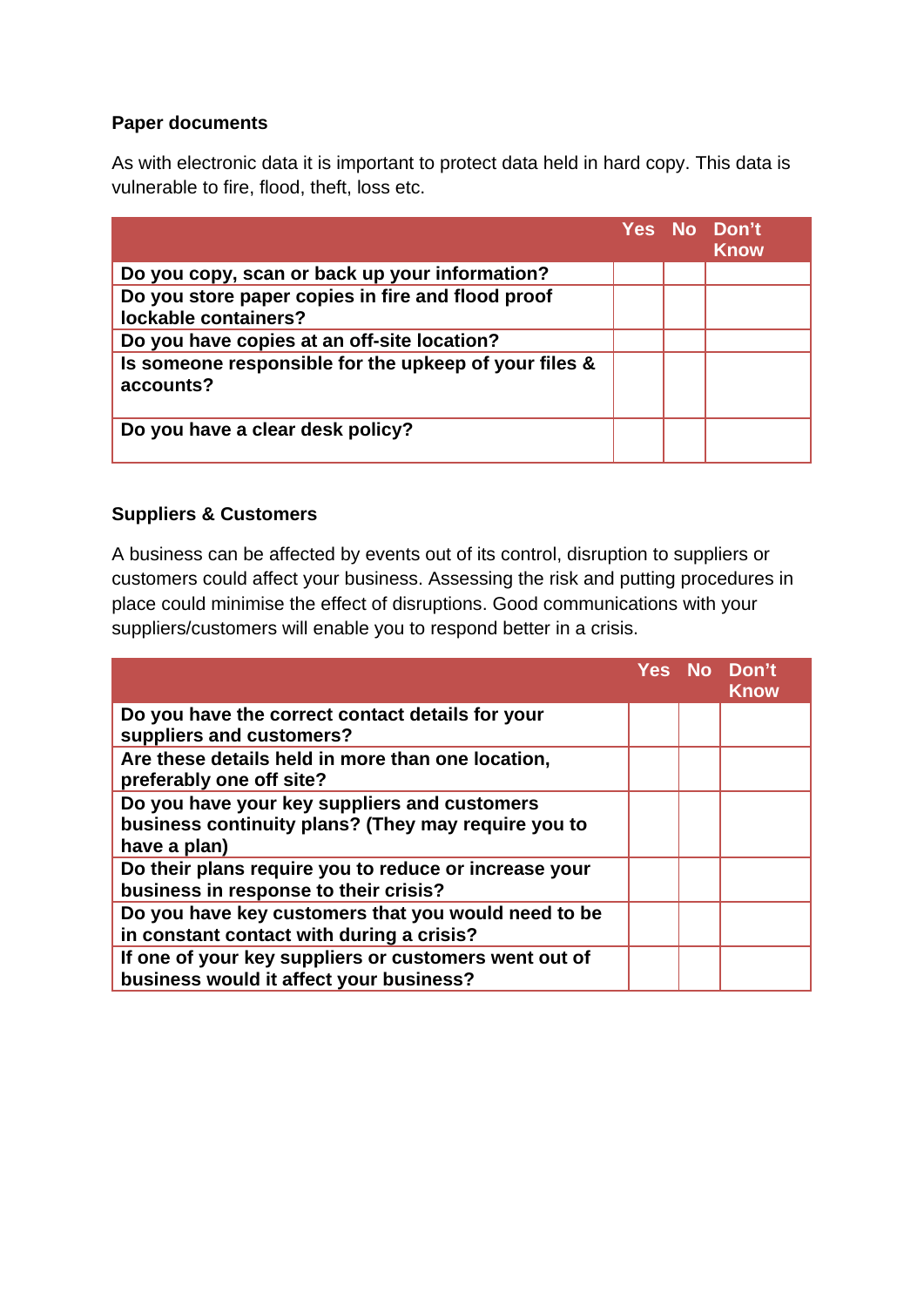#### **Paper documents**

As with electronic data it is important to protect data held in hard copy. This data is vulnerable to fire, flood, theft, loss etc.

|                                                                           |  | Yes No Don't<br>Know |
|---------------------------------------------------------------------------|--|----------------------|
| Do you copy, scan or back up your information?                            |  |                      |
| Do you store paper copies in fire and flood proof<br>lockable containers? |  |                      |
| Do you have copies at an off-site location?                               |  |                      |
| Is someone responsible for the upkeep of your files &<br>accounts?        |  |                      |
| Do you have a clear desk policy?                                          |  |                      |

#### **Suppliers & Customers**

A business can be affected by events out of its control, disruption to suppliers or customers could affect your business. Assessing the risk and putting procedures in place could minimise the effect of disruptions. Good communications with your suppliers/customers will enable you to respond better in a crisis.

|                                                                                                                     |  | Yes No Don't<br><b>Know</b> |
|---------------------------------------------------------------------------------------------------------------------|--|-----------------------------|
| Do you have the correct contact details for your<br>suppliers and customers?                                        |  |                             |
| Are these details held in more than one location,<br>preferably one off site?                                       |  |                             |
| Do you have your key suppliers and customers<br>business continuity plans? (They may require you to<br>have a plan) |  |                             |
| Do their plans require you to reduce or increase your<br>business in response to their crisis?                      |  |                             |
| Do you have key customers that you would need to be<br>in constant contact with during a crisis?                    |  |                             |
| If one of your key suppliers or customers went out of<br>business would it affect your business?                    |  |                             |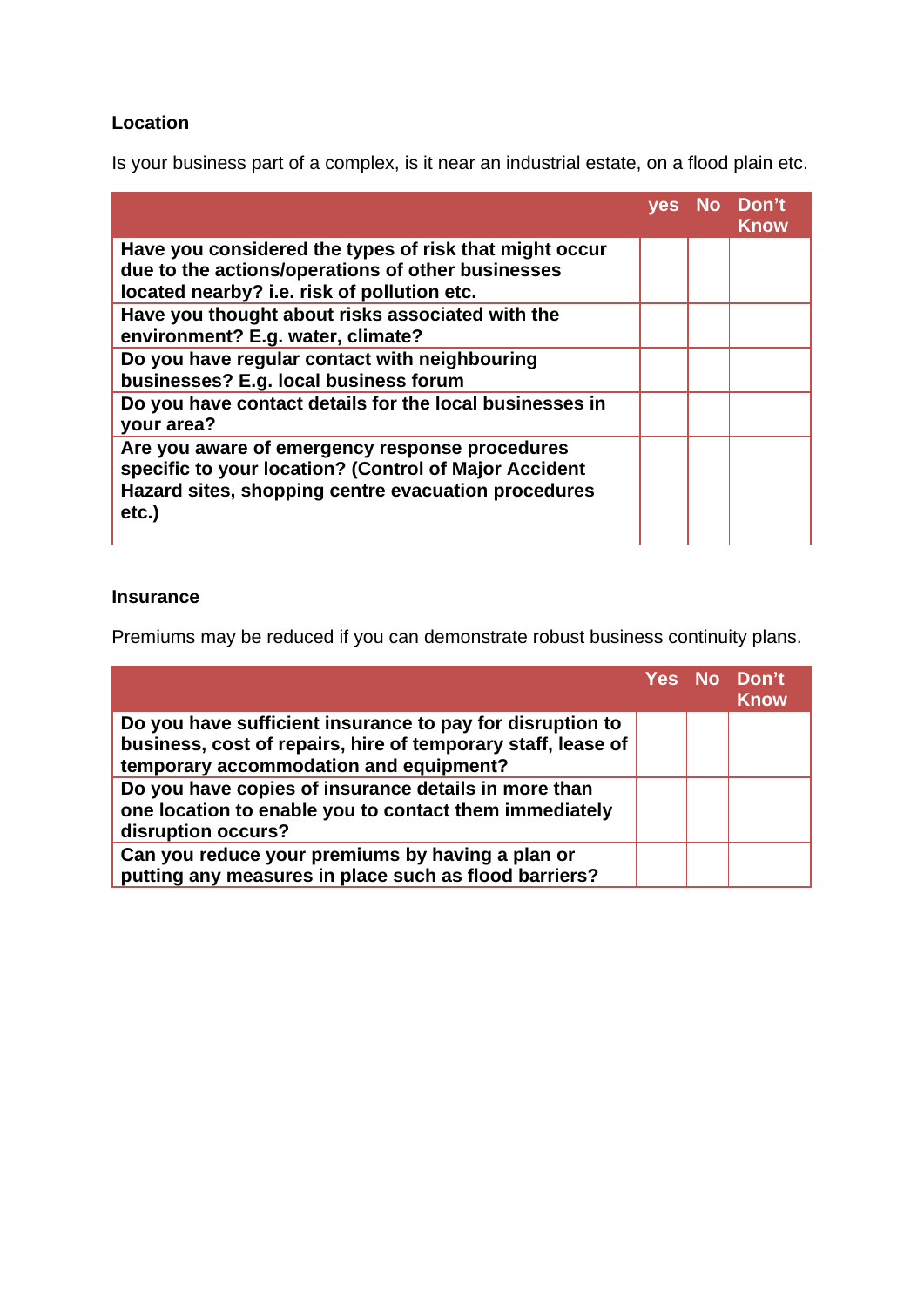### **Location**

Is your business part of a complex, is it near an industrial estate, on a flood plain etc.

|                                                                                                                                                                         | <b>ves</b> | No Don't<br><b>Know</b> |
|-------------------------------------------------------------------------------------------------------------------------------------------------------------------------|------------|-------------------------|
| Have you considered the types of risk that might occur<br>due to the actions/operations of other businesses<br>located nearby? i.e. risk of pollution etc.              |            |                         |
| Have you thought about risks associated with the<br>environment? E.g. water, climate?                                                                                   |            |                         |
| Do you have regular contact with neighbouring<br>businesses? E.g. local business forum                                                                                  |            |                         |
| Do you have contact details for the local businesses in<br>your area?                                                                                                   |            |                         |
| Are you aware of emergency response procedures<br>specific to your location? (Control of Major Accident<br>Hazard sites, shopping centre evacuation procedures<br>etc.) |            |                         |

### **Insurance**

Premiums may be reduced if you can demonstrate robust business continuity plans.

|                                                                                                                                                                     |  | Yes No Don't<br><b>Know</b> |
|---------------------------------------------------------------------------------------------------------------------------------------------------------------------|--|-----------------------------|
| Do you have sufficient insurance to pay for disruption to<br>business, cost of repairs, hire of temporary staff, lease of<br>temporary accommodation and equipment? |  |                             |
| Do you have copies of insurance details in more than<br>one location to enable you to contact them immediately<br>disruption occurs?                                |  |                             |
| Can you reduce your premiums by having a plan or<br>putting any measures in place such as flood barriers?                                                           |  |                             |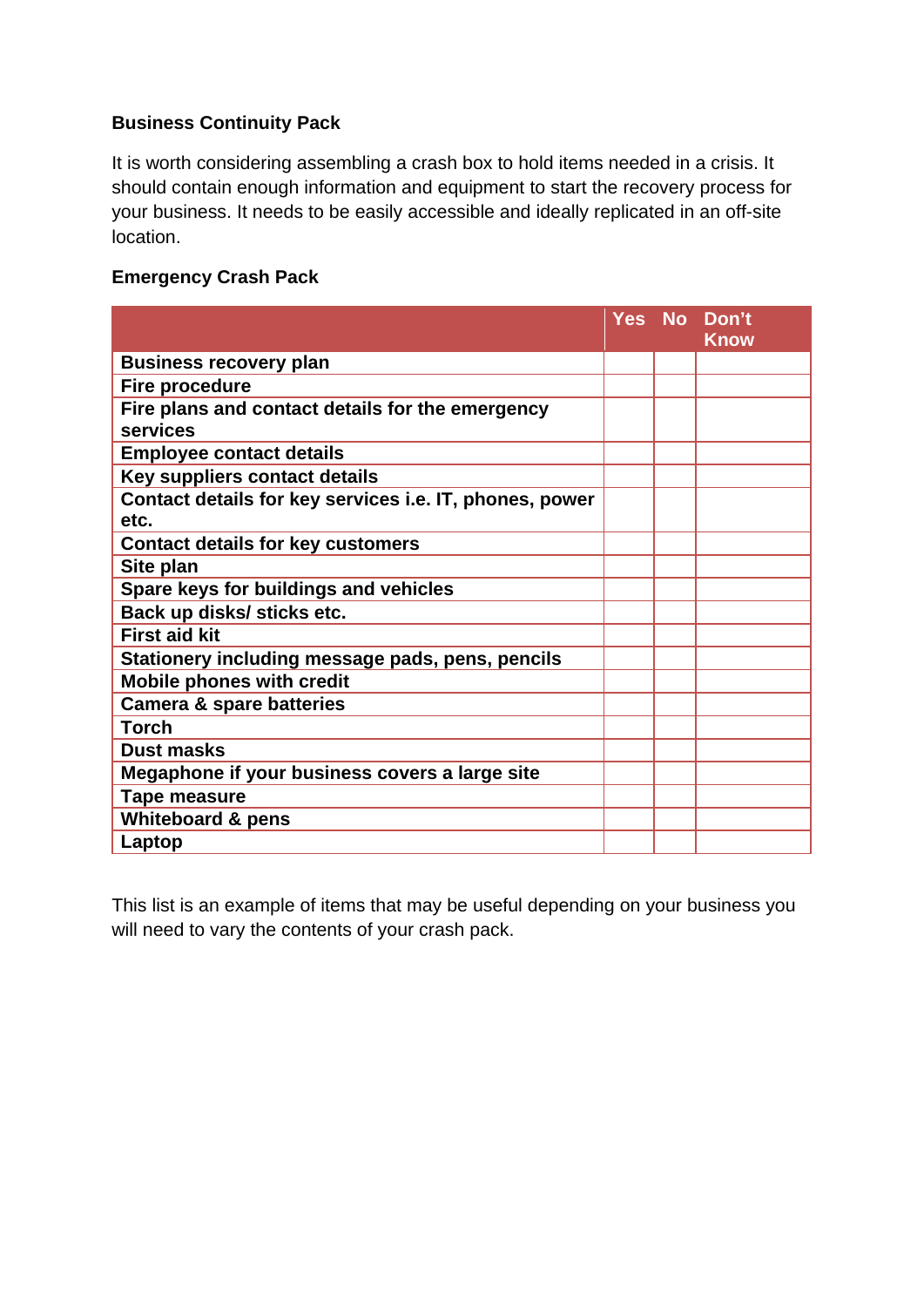#### **Business Continuity Pack**

It is worth considering assembling a crash box to hold items needed in a crisis. It should contain enough information and equipment to start the recovery process for your business. It needs to be easily accessible and ideally replicated in an off-site location.

#### **Emergency Crash Pack**

|                                                                 |  | Yes No Don't<br><b>Know</b> |
|-----------------------------------------------------------------|--|-----------------------------|
| <b>Business recovery plan</b>                                   |  |                             |
| <b>Fire procedure</b>                                           |  |                             |
| Fire plans and contact details for the emergency<br>services    |  |                             |
| <b>Employee contact details</b>                                 |  |                             |
| Key suppliers contact details                                   |  |                             |
| Contact details for key services i.e. IT, phones, power<br>etc. |  |                             |
| <b>Contact details for key customers</b>                        |  |                             |
| Site plan                                                       |  |                             |
| Spare keys for buildings and vehicles                           |  |                             |
| Back up disks/ sticks etc.                                      |  |                             |
| <b>First aid kit</b>                                            |  |                             |
| Stationery including message pads, pens, pencils                |  |                             |
| <b>Mobile phones with credit</b>                                |  |                             |
| <b>Camera &amp; spare batteries</b>                             |  |                             |
| <b>Torch</b>                                                    |  |                             |
| <b>Dust masks</b>                                               |  |                             |
| Megaphone if your business covers a large site                  |  |                             |
| <b>Tape measure</b>                                             |  |                             |
| <b>Whiteboard &amp; pens</b>                                    |  |                             |
| Laptop                                                          |  |                             |

This list is an example of items that may be useful depending on your business you will need to vary the contents of your crash pack.